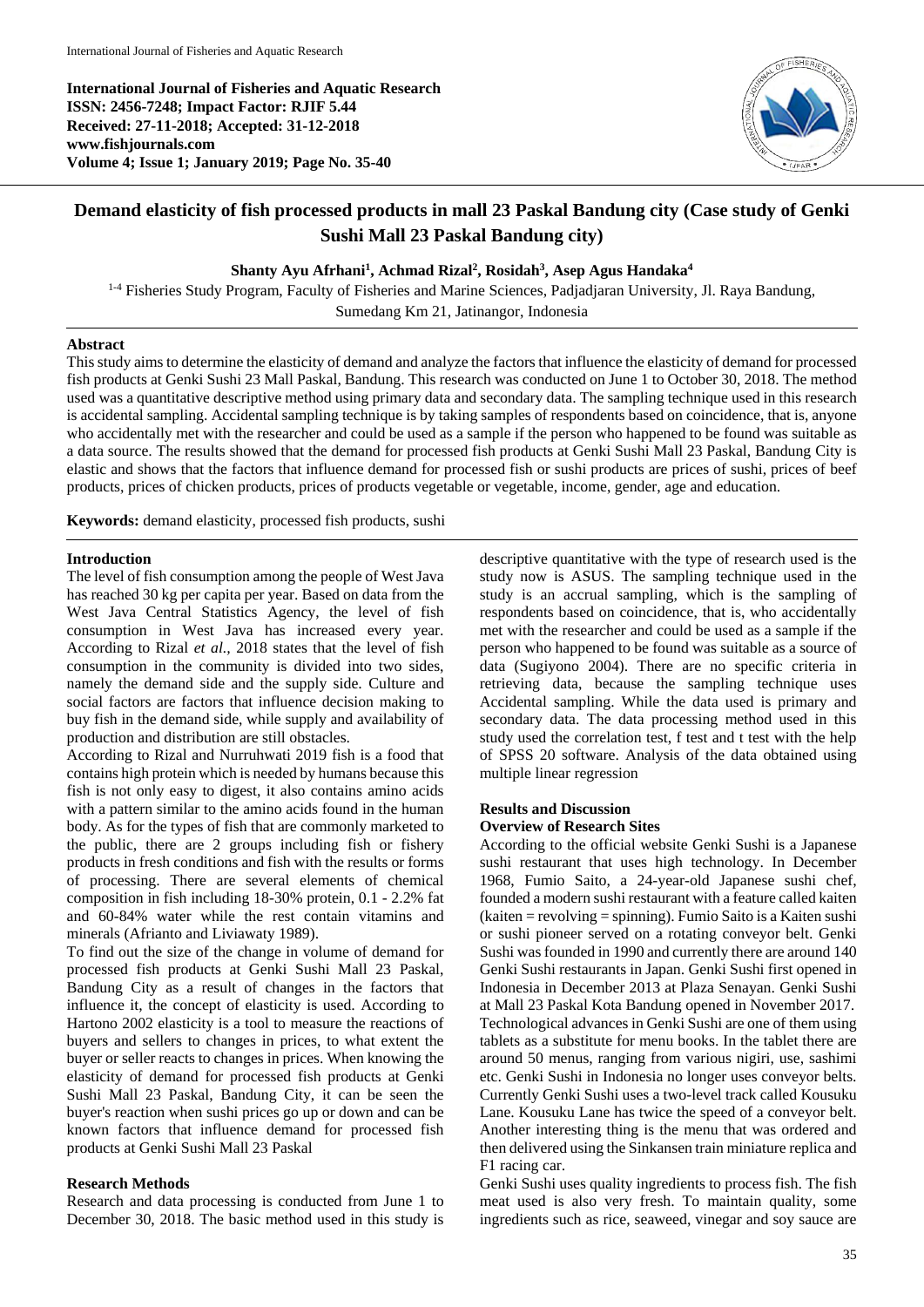**International Journal of Fisheries and Aquatic Research ISSN: 2456-7248; Impact Factor: RJIF 5.44 Received: 27-11-2018; Accepted: 31-12-2018 www.fishjournals.com Volume 4; Issue 1; January 2019; Page No. 35-40**



# **Demand elasticity of fish processed products in mall 23 Paskal Bandung city (Case study of Genki Sushi Mall 23 Paskal Bandung city)**

**Shanty Ayu Afrhani<sup>1</sup> , Achmad Rizal<sup>2</sup> , Rosidah<sup>3</sup> , Asep Agus Handaka<sup>4</sup>**

1-4 Fisheries Study Program, Faculty of Fisheries and Marine Sciences, Padjadjaran University, Jl. Raya Bandung, Sumedang Km 21, Jatinangor, Indonesia

# **Abstract**

This study aims to determine the elasticity of demand and analyze the factors that influence the elasticity of demand for processed fish products at Genki Sushi 23 Mall Paskal, Bandung. This research was conducted on June 1 to October 30, 2018. The method used was a quantitative descriptive method using primary data and secondary data. The sampling technique used in this research is accidental sampling. Accidental sampling technique is by taking samples of respondents based on coincidence, that is, anyone who accidentally met with the researcher and could be used as a sample if the person who happened to be found was suitable as a data source. The results showed that the demand for processed fish products at Genki Sushi Mall 23 Paskal, Bandung City is elastic and shows that the factors that influence demand for processed fish or sushi products are prices of sushi, prices of beef products, prices of chicken products, prices of products vegetable or vegetable, income, gender, age and education.

**Keywords:** demand elasticity, processed fish products, sushi

# **Introduction**

The level of fish consumption among the people of West Java has reached 30 kg per capita per year. Based on data from the West Java Central Statistics Agency, the level of fish consumption in West Java has increased every year. According to Rizal *et al.,* 2018 states that the level of fish consumption in the community is divided into two sides, namely the demand side and the supply side. Culture and social factors are factors that influence decision making to buy fish in the demand side, while supply and availability of production and distribution are still obstacles.

According to Rizal and Nurruhwati 2019 fish is a food that contains high protein which is needed by humans because this fish is not only easy to digest, it also contains amino acids with a pattern similar to the amino acids found in the human body. As for the types of fish that are commonly marketed to the public, there are 2 groups including fish or fishery products in fresh conditions and fish with the results or forms of processing. There are several elements of chemical composition in fish including 18-30% protein, 0.1 - 2.2% fat and 60-84% water while the rest contain vitamins and minerals (Afrianto and Liviawaty 1989).

To find out the size of the change in volume of demand for processed fish products at Genki Sushi Mall 23 Paskal, Bandung City as a result of changes in the factors that influence it, the concept of elasticity is used. According to Hartono 2002 elasticity is a tool to measure the reactions of buyers and sellers to changes in prices, to what extent the buyer or seller reacts to changes in prices. When knowing the elasticity of demand for processed fish products at Genki Sushi Mall 23 Paskal, Bandung City, it can be seen the buyer's reaction when sushi prices go up or down and can be known factors that influence demand for processed fish products at Genki Sushi Mall 23 Paskal

#### **Research Methods**

Research and data processing is conducted from June 1 to December 30, 2018. The basic method used in this study is descriptive quantitative with the type of research used is the study now is ASUS. The sampling technique used in the study is an accrual sampling, which is the sampling of respondents based on coincidence, that is, who accidentally met with the researcher and could be used as a sample if the person who happened to be found was suitable as a source of data (Sugiyono 2004). There are no specific criteria in retrieving data, because the sampling technique uses Accidental sampling. While the data used is primary and secondary data. The data processing method used in this study used the correlation test, f test and t test with the help of SPSS 20 software. Analysis of the data obtained using multiple linear regression

#### **Results and Discussion Overview of Research Sites**

According to the official website Genki Sushi is a Japanese sushi restaurant that uses high technology. In December 1968, Fumio Saito, a 24-year-old Japanese sushi chef, founded a modern sushi restaurant with a feature called kaiten (kaiten = revolving = spinning). Fumio Saito is a Kaiten sushi or sushi pioneer served on a rotating conveyor belt. Genki Sushi was founded in 1990 and currently there are around 140 Genki Sushi restaurants in Japan. Genki Sushi first opened in Indonesia in December 2013 at Plaza Senayan. Genki Sushi at Mall 23 Paskal Kota Bandung opened in November 2017. Technological advances in Genki Sushi are one of them using tablets as a substitute for menu books. In the tablet there are around 50 menus, ranging from various nigiri, use, sashimi etc. Genki Sushi in Indonesia no longer uses conveyor belts. Currently Genki Sushi uses a two-level track called Kousuku Lane. Kousuku Lane has twice the speed of a conveyor belt. Another interesting thing is the menu that was ordered and then delivered using the Sinkansen train miniature replica and F1 racing car.

Genki Sushi uses quality ingredients to process fish. The fish meat used is also very fresh. To maintain quality, some ingredients such as rice, seaweed, vinegar and soy sauce are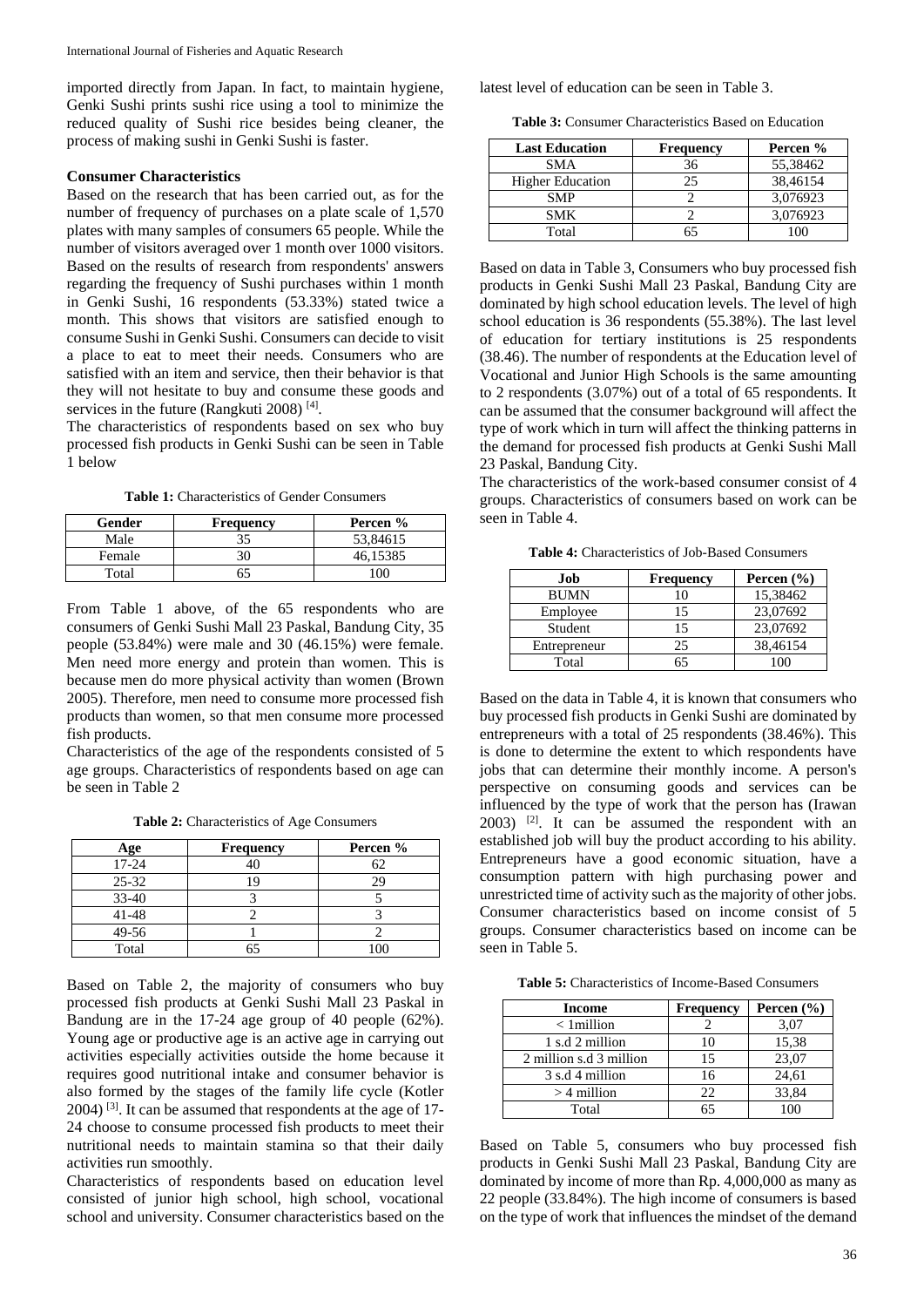imported directly from Japan. In fact, to maintain hygiene, Genki Sushi prints sushi rice using a tool to minimize the reduced quality of Sushi rice besides being cleaner, the process of making sushi in Genki Sushi is faster.

#### **Consumer Characteristics**

Based on the research that has been carried out, as for the number of frequency of purchases on a plate scale of 1,570 plates with many samples of consumers 65 people. While the number of visitors averaged over 1 month over 1000 visitors. Based on the results of research from respondents' answers regarding the frequency of Sushi purchases within 1 month in Genki Sushi, 16 respondents (53.33%) stated twice a month. This shows that visitors are satisfied enough to consume Sushi in Genki Sushi. Consumers can decide to visit a place to eat to meet their needs. Consumers who are satisfied with an item and service, then their behavior is that they will not hesitate to buy and consume these goods and services in the future (Rangkuti 2008)<sup>[4]</sup>.

The characteristics of respondents based on sex who buy processed fish products in Genki Sushi can be seen in Table 1 below

**Table 1:** Characteristics of Gender Consumers

| Gender | <b>Frequency</b> | Percen % |
|--------|------------------|----------|
| Male   |                  | 53.84615 |
| Female |                  | 46.15385 |
| Total  |                  | ω        |

From Table 1 above, of the 65 respondents who are consumers of Genki Sushi Mall 23 Paskal, Bandung City, 35 people (53.84%) were male and 30 (46.15%) were female. Men need more energy and protein than women. This is because men do more physical activity than women (Brown 2005). Therefore, men need to consume more processed fish products than women, so that men consume more processed fish products.

Characteristics of the age of the respondents consisted of 5 age groups. Characteristics of respondents based on age can be seen in Table 2

**Table 2:** Characteristics of Age Consumers

| Age       | <b>Frequency</b> | Percen % |
|-----------|------------------|----------|
| 17-24     |                  |          |
| $25 - 32$ |                  | 29       |
| $33 - 40$ |                  |          |
| 41-48     |                  |          |
| 49-56     |                  |          |
| Total     |                  | 1 ∩6     |

Based on Table 2, the majority of consumers who buy processed fish products at Genki Sushi Mall 23 Paskal in Bandung are in the 17-24 age group of 40 people (62%). Young age or productive age is an active age in carrying out activities especially activities outside the home because it requires good nutritional intake and consumer behavior is also formed by the stages of the family life cycle (Kotler  $2004$ ) <sup>[3]</sup>. It can be assumed that respondents at the age of 17-24 choose to consume processed fish products to meet their nutritional needs to maintain stamina so that their daily activities run smoothly.

Characteristics of respondents based on education level consisted of junior high school, high school, vocational school and university. Consumer characteristics based on the latest level of education can be seen in Table 3.

**Table 3:** Consumer Characteristics Based on Education

| <b>Last Education</b>   | Frequency | Percen % |
|-------------------------|-----------|----------|
| <b>SMA</b>              | 36        | 55,38462 |
| <b>Higher Education</b> | 25        | 38,46154 |
| <b>SMP</b>              |           | 3,076923 |
| SMK                     |           | 3,076923 |
| Total                   |           |          |

Based on data in Table 3, Consumers who buy processed fish products in Genki Sushi Mall 23 Paskal, Bandung City are dominated by high school education levels. The level of high school education is 36 respondents (55.38%). The last level of education for tertiary institutions is 25 respondents (38.46). The number of respondents at the Education level of Vocational and Junior High Schools is the same amounting to 2 respondents (3.07%) out of a total of 65 respondents. It can be assumed that the consumer background will affect the type of work which in turn will affect the thinking patterns in the demand for processed fish products at Genki Sushi Mall 23 Paskal, Bandung City.

The characteristics of the work-based consumer consist of 4 groups. Characteristics of consumers based on work can be seen in Table 4.

**Table 4:** Characteristics of Job-Based Consumers

| Job          | <b>Frequency</b> | Percen $(\% )$ |
|--------------|------------------|----------------|
| <b>BUMN</b>  | 10               | 15,38462       |
| Employee     | 15               | 23,07692       |
| Student      | 15               | 23,07692       |
| Entrepreneur | 25               | 38,46154       |
| Total        | 65               |                |

Based on the data in Table 4, it is known that consumers who buy processed fish products in Genki Sushi are dominated by entrepreneurs with a total of 25 respondents (38.46%). This is done to determine the extent to which respondents have jobs that can determine their monthly income. A person's perspective on consuming goods and services can be influenced by the type of work that the person has (Irawan  $2003$ ) <sup>[2]</sup>. It can be assumed the respondent with an established job will buy the product according to his ability. Entrepreneurs have a good economic situation, have a consumption pattern with high purchasing power and unrestricted time of activity such as the majority of other jobs. Consumer characteristics based on income consist of 5 groups. Consumer characteristics based on income can be seen in Table 5.

**Table 5:** Characteristics of Income-Based Consumers

| Income                  | <b>Frequency</b> | Percen $(\% )$ |
|-------------------------|------------------|----------------|
| $<$ 1 million           |                  | 3,07           |
| 1 s.d 2 million         | 10               | 15,38          |
| 2 million s.d 3 million | 15               | 23,07          |
| 3 s.d 4 million         | 16               | 24,61          |
| $>$ 4 million           | 22               | 33,84          |
| Total                   | 65               | 100            |

Based on Table 5, consumers who buy processed fish products in Genki Sushi Mall 23 Paskal, Bandung City are dominated by income of more than Rp. 4,000,000 as many as 22 people (33.84%). The high income of consumers is based on the type of work that influences the mindset of the demand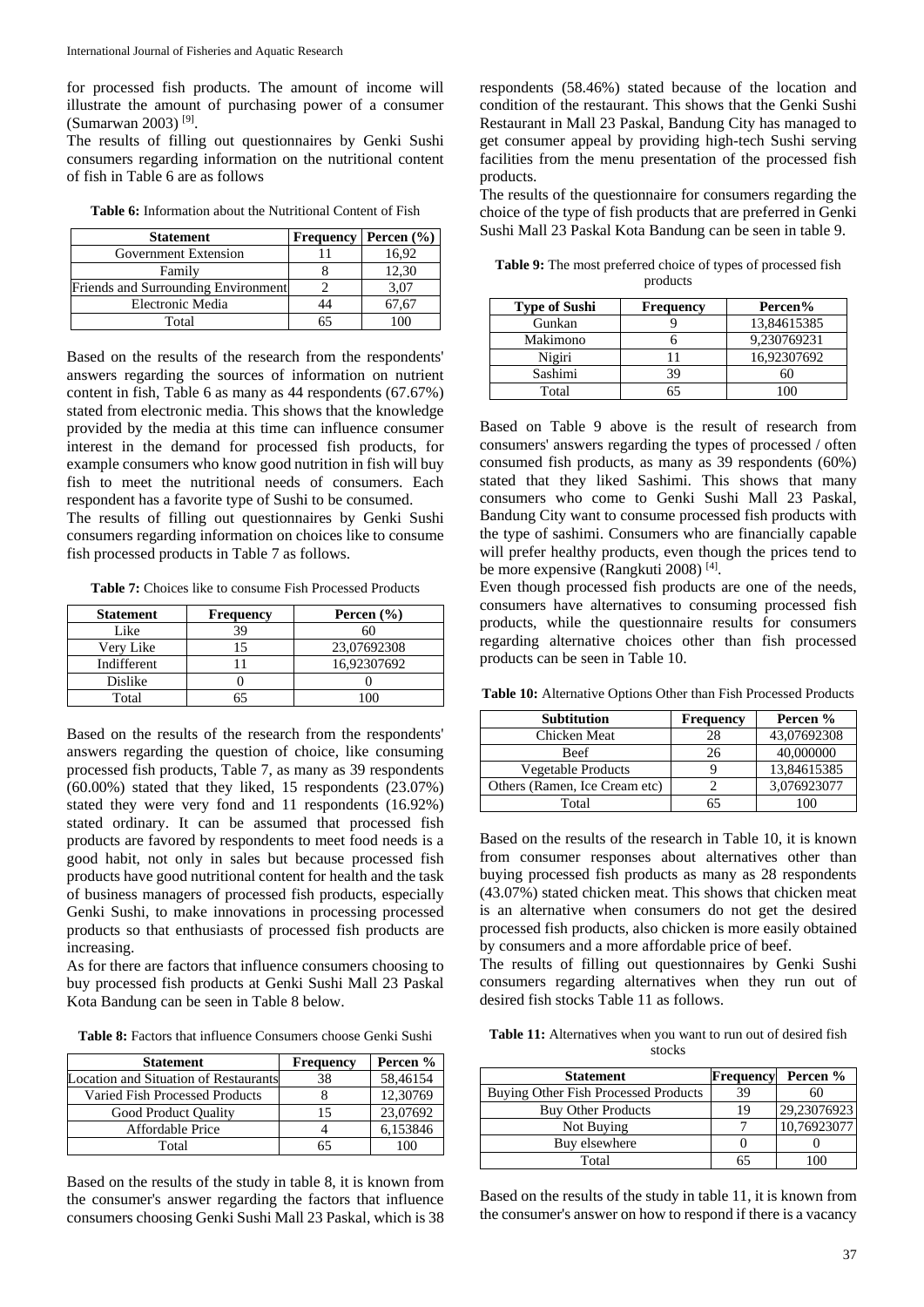for processed fish products. The amount of income will illustrate the amount of purchasing power of a consumer (Sumarwan 2003) [9] .

The results of filling out questionnaires by Genki Sushi consumers regarding information on the nutritional content of fish in Table 6 are as follows

| <b>Table 6:</b> Information about the Nutritional Content of Fish |  |  |  |  |  |  |
|-------------------------------------------------------------------|--|--|--|--|--|--|
|-------------------------------------------------------------------|--|--|--|--|--|--|

| <b>Statement</b>                           | Frequency | <b>Percen</b> $\left(\frac{9}{6}\right)$ |
|--------------------------------------------|-----------|------------------------------------------|
| Government Extension                       |           | 16.92                                    |
| Family                                     |           | 12,30                                    |
| <b>Friends and Surrounding Environment</b> |           | 3,07                                     |
| Electronic Media                           | 14        | 67.67                                    |
| Total                                      | 65        |                                          |

Based on the results of the research from the respondents' answers regarding the sources of information on nutrient content in fish, Table 6 as many as 44 respondents (67.67%) stated from electronic media. This shows that the knowledge provided by the media at this time can influence consumer interest in the demand for processed fish products, for example consumers who know good nutrition in fish will buy fish to meet the nutritional needs of consumers. Each respondent has a favorite type of Sushi to be consumed. The results of filling out questionnaires by Genki Sushi

consumers regarding information on choices like to consume fish processed products in Table 7 as follows.

**Table 7:** Choices like to consume Fish Processed Products

| <b>Statement</b> | <b>Frequency</b> | Percen $(\% )$ |
|------------------|------------------|----------------|
| Like             | 39               |                |
| Very Like        |                  | 23,07692308    |
| Indifferent      |                  | 16,92307692    |
| Dislike          |                  |                |
| Total            |                  |                |

Based on the results of the research from the respondents' answers regarding the question of choice, like consuming processed fish products, Table 7, as many as 39 respondents (60.00%) stated that they liked, 15 respondents (23.07%) stated they were very fond and 11 respondents (16.92%) stated ordinary. It can be assumed that processed fish products are favored by respondents to meet food needs is a good habit, not only in sales but because processed fish products have good nutritional content for health and the task of business managers of processed fish products, especially Genki Sushi, to make innovations in processing processed products so that enthusiasts of processed fish products are increasing.

As for there are factors that influence consumers choosing to buy processed fish products at Genki Sushi Mall 23 Paskal Kota Bandung can be seen in Table 8 below.

**Table 8:** Factors that influence Consumers choose Genki Sushi

| <b>Statement</b>                      | <b>Frequency</b> | Percen % |
|---------------------------------------|------------------|----------|
| Location and Situation of Restaurants | 38               | 58,46154 |
| Varied Fish Processed Products        |                  | 12,30769 |
| Good Product Quality                  | 15               | 23,07692 |
| Affordable Price                      |                  | 6,153846 |
| Total                                 |                  |          |

Based on the results of the study in table 8, it is known from the consumer's answer regarding the factors that influence consumers choosing Genki Sushi Mall 23 Paskal, which is 38 respondents (58.46%) stated because of the location and condition of the restaurant. This shows that the Genki Sushi Restaurant in Mall 23 Paskal, Bandung City has managed to get consumer appeal by providing high-tech Sushi serving facilities from the menu presentation of the processed fish products.

The results of the questionnaire for consumers regarding the choice of the type of fish products that are preferred in Genki Sushi Mall 23 Paskal Kota Bandung can be seen in table 9.

**Table 9:** The most preferred choice of types of processed fish products

| <b>Type of Sushi</b> | <b>Frequency</b> | Percen%     |
|----------------------|------------------|-------------|
| Gunkan               |                  | 13,84615385 |
| Makimono             |                  | 9,230769231 |
| Nigiri               |                  | 16,92307692 |
| Sashimi              | 39               |             |
| Total                | 65               |             |

Based on Table 9 above is the result of research from consumers' answers regarding the types of processed / often consumed fish products, as many as 39 respondents (60%) stated that they liked Sashimi. This shows that many consumers who come to Genki Sushi Mall 23 Paskal, Bandung City want to consume processed fish products with the type of sashimi. Consumers who are financially capable will prefer healthy products, even though the prices tend to be more expensive (Rangkuti 2008)<sup>[4]</sup>.

Even though processed fish products are one of the needs, consumers have alternatives to consuming processed fish products, while the questionnaire results for consumers regarding alternative choices other than fish processed products can be seen in Table 10.

**Table 10:** Alternative Options Other than Fish Processed Products

| <b>Subtitution</b>            | Frequency | Percen %    |
|-------------------------------|-----------|-------------|
| Chicken Meat                  | 28        | 43,07692308 |
| <b>Beef</b>                   | 26        | 40,000000   |
| Vegetable Products            |           | 13.84615385 |
| Others (Ramen, Ice Cream etc) |           | 3.076923077 |
| Total                         | 65        | 100         |

Based on the results of the research in Table 10, it is known from consumer responses about alternatives other than buying processed fish products as many as 28 respondents (43.07%) stated chicken meat. This shows that chicken meat is an alternative when consumers do not get the desired processed fish products, also chicken is more easily obtained by consumers and a more affordable price of beef.

The results of filling out questionnaires by Genki Sushi consumers regarding alternatives when they run out of desired fish stocks Table 11 as follows.

**Table 11:** Alternatives when you want to run out of desired fish stocks

| <b>Statement</b>                     | Frequency | Percen %    |
|--------------------------------------|-----------|-------------|
| Buying Other Fish Processed Products | 39        | 60          |
| <b>Buy Other Products</b>            | 19        | 29,23076923 |
| Not Buying                           |           | 10,76923077 |
| Buy elsewhere                        |           |             |
| Total                                | 65        |             |

Based on the results of the study in table 11, it is known from the consumer's answer on how to respond if there is a vacancy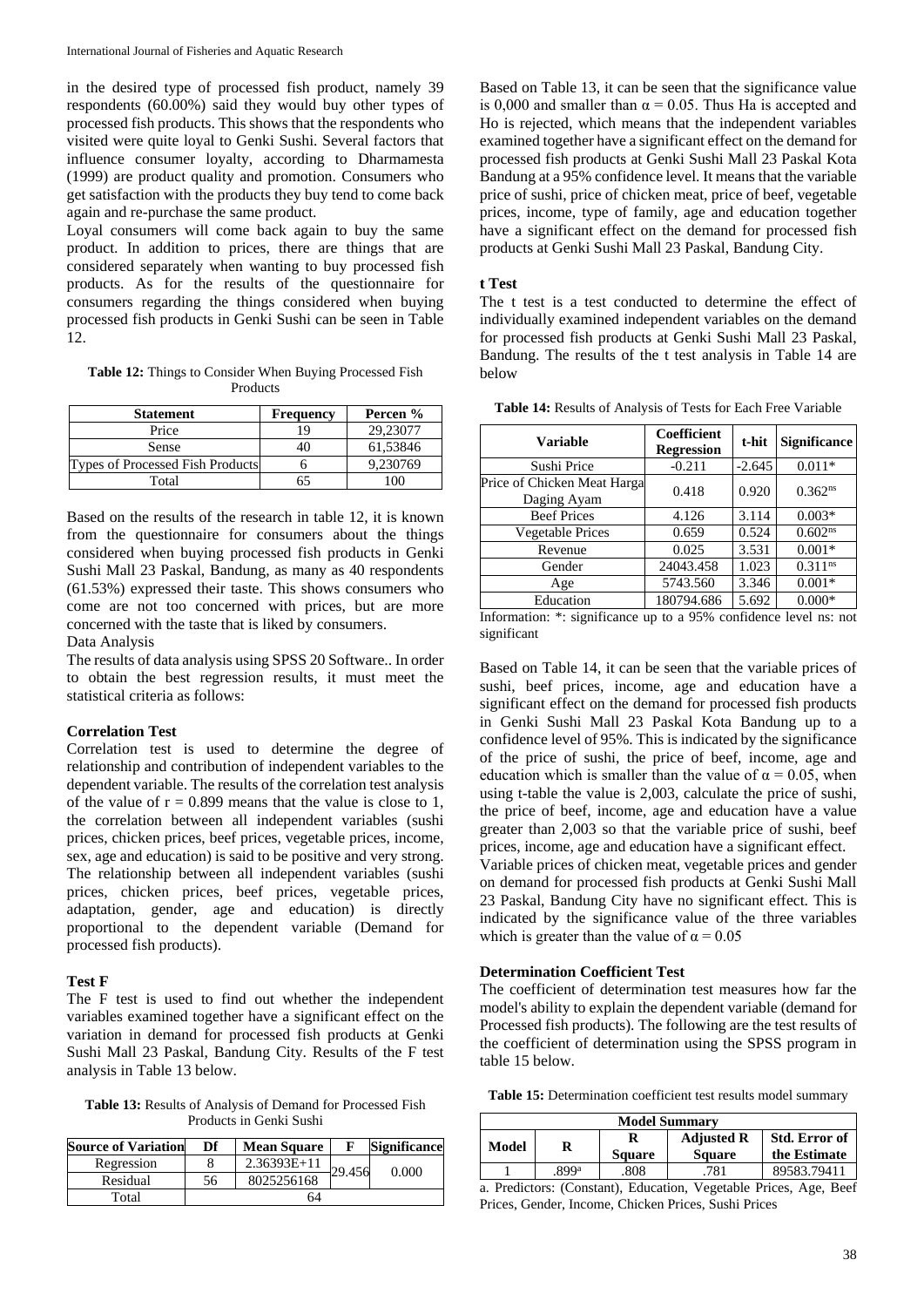in the desired type of processed fish product, namely 39 respondents (60.00%) said they would buy other types of processed fish products. This shows that the respondents who visited were quite loyal to Genki Sushi. Several factors that influence consumer loyalty, according to Dharmamesta (1999) are product quality and promotion. Consumers who get satisfaction with the products they buy tend to come back again and re-purchase the same product.

Loyal consumers will come back again to buy the same product. In addition to prices, there are things that are considered separately when wanting to buy processed fish products. As for the results of the questionnaire for consumers regarding the things considered when buying processed fish products in Genki Sushi can be seen in Table 12.

**Table 12:** Things to Consider When Buying Processed Fish Products

| <b>Statement</b>                 | <b>Frequency</b> | Percen % |
|----------------------------------|------------------|----------|
| Price                            | 19               | 29,23077 |
| <b>Sense</b>                     |                  | 61,53846 |
| Types of Processed Fish Products |                  | 9,230769 |
| Total                            |                  |          |

Based on the results of the research in table 12, it is known from the questionnaire for consumers about the things considered when buying processed fish products in Genki Sushi Mall 23 Paskal, Bandung, as many as 40 respondents (61.53%) expressed their taste. This shows consumers who come are not too concerned with prices, but are more concerned with the taste that is liked by consumers.

Data Analysis

The results of data analysis using SPSS 20 Software.. In order to obtain the best regression results, it must meet the statistical criteria as follows:

#### **Correlation Test**

Correlation test is used to determine the degree of relationship and contribution of independent variables to the dependent variable. The results of the correlation test analysis of the value of  $r = 0.899$  means that the value is close to 1, the correlation between all independent variables (sushi prices, chicken prices, beef prices, vegetable prices, income, sex, age and education) is said to be positive and very strong. The relationship between all independent variables (sushi prices, chicken prices, beef prices, vegetable prices, adaptation, gender, age and education) is directly proportional to the dependent variable (Demand for processed fish products).

# **Test F**

The F test is used to find out whether the independent variables examined together have a significant effect on the variation in demand for processed fish products at Genki Sushi Mall 23 Paskal, Bandung City. Results of the F test analysis in Table 13 below.

**Table 13:** Results of Analysis of Demand for Processed Fish Products in Genki Sushi

| <b>Source of Variation</b> | Df | <b>Mean Square</b> |        | <b>Significance</b> |
|----------------------------|----|--------------------|--------|---------------------|
| Regression                 |    | $2.36393E+11$      | 29.456 | 0.000               |
| Residual                   | 56 | 8025256168         |        |                     |
| Total                      |    | 64                 |        |                     |

Based on Table 13, it can be seen that the significance value is 0,000 and smaller than  $\alpha = 0.05$ . Thus Ha is accepted and Ho is rejected, which means that the independent variables examined together have a significant effect on the demand for processed fish products at Genki Sushi Mall 23 Paskal Kota Bandung at a 95% confidence level. It means that the variable price of sushi, price of chicken meat, price of beef, vegetable prices, income, type of family, age and education together have a significant effect on the demand for processed fish products at Genki Sushi Mall 23 Paskal, Bandung City.

# **t Test**

The t test is a test conducted to determine the effect of individually examined independent variables on the demand for processed fish products at Genki Sushi Mall 23 Paskal, Bandung. The results of the t test analysis in Table 14 are below

**Table 14:** Results of Analysis of Tests for Each Free Variable

| <b>Variable</b>                            | Coefficient<br><b>Regression</b> | t-hit    | <b>Significance</b>   |
|--------------------------------------------|----------------------------------|----------|-----------------------|
| Sushi Price                                | $-0.211$                         | $-2.645$ | $0.011*$              |
| Price of Chicken Meat Harga<br>Daging Ayam | 0.418                            | 0.920    | $0.362^{ns}$          |
| <b>Beef Prices</b>                         | 4.126                            | 3.114    | $0.003*$              |
| Vegetable Prices                           | 0.659                            | 0.524    | $0.602^{ns}$          |
| Revenue                                    | 0.025                            | 3.531    | $0.001*$              |
| Gender                                     | 24043.458                        | 1.023    | $0.311$ <sup>ns</sup> |
| Age                                        | 5743.560                         | 3.346    | $0.001*$              |
| Education                                  | 180794.686                       | 5.692    | $0.000*$              |

Information: \*: significance up to a 95% confidence level ns: not significant

Based on Table 14, it can be seen that the variable prices of sushi, beef prices, income, age and education have a significant effect on the demand for processed fish products in Genki Sushi Mall 23 Paskal Kota Bandung up to a confidence level of 95%. This is indicated by the significance of the price of sushi, the price of beef, income, age and education which is smaller than the value of  $\alpha = 0.05$ , when using t-table the value is 2,003, calculate the price of sushi, the price of beef, income, age and education have a value greater than 2,003 so that the variable price of sushi, beef prices, income, age and education have a significant effect.

Variable prices of chicken meat, vegetable prices and gender on demand for processed fish products at Genki Sushi Mall 23 Paskal, Bandung City have no significant effect. This is indicated by the significance value of the three variables which is greater than the value of  $\alpha = 0.05$ 

# **Determination Coefficient Test**

The coefficient of determination test measures how far the model's ability to explain the dependent variable (demand for Processed fish products). The following are the test results of the coefficient of determination using the SPSS program in table 15 below.

**Table 15:** Determination coefficient test results model summary

| <b>Model Summary</b> |       |               |                                    |                               |
|----------------------|-------|---------------|------------------------------------|-------------------------------|
| Model                | R     | <b>Square</b> | <b>Adjusted R</b><br><b>Square</b> | Std. Error of<br>the Estimate |
|                      | .899ª | 808.          | 781                                | 89583.79411                   |

a. Predictors: (Constant), Education, Vegetable Prices, Age, Beef Prices, Gender, Income, Chicken Prices, Sushi Prices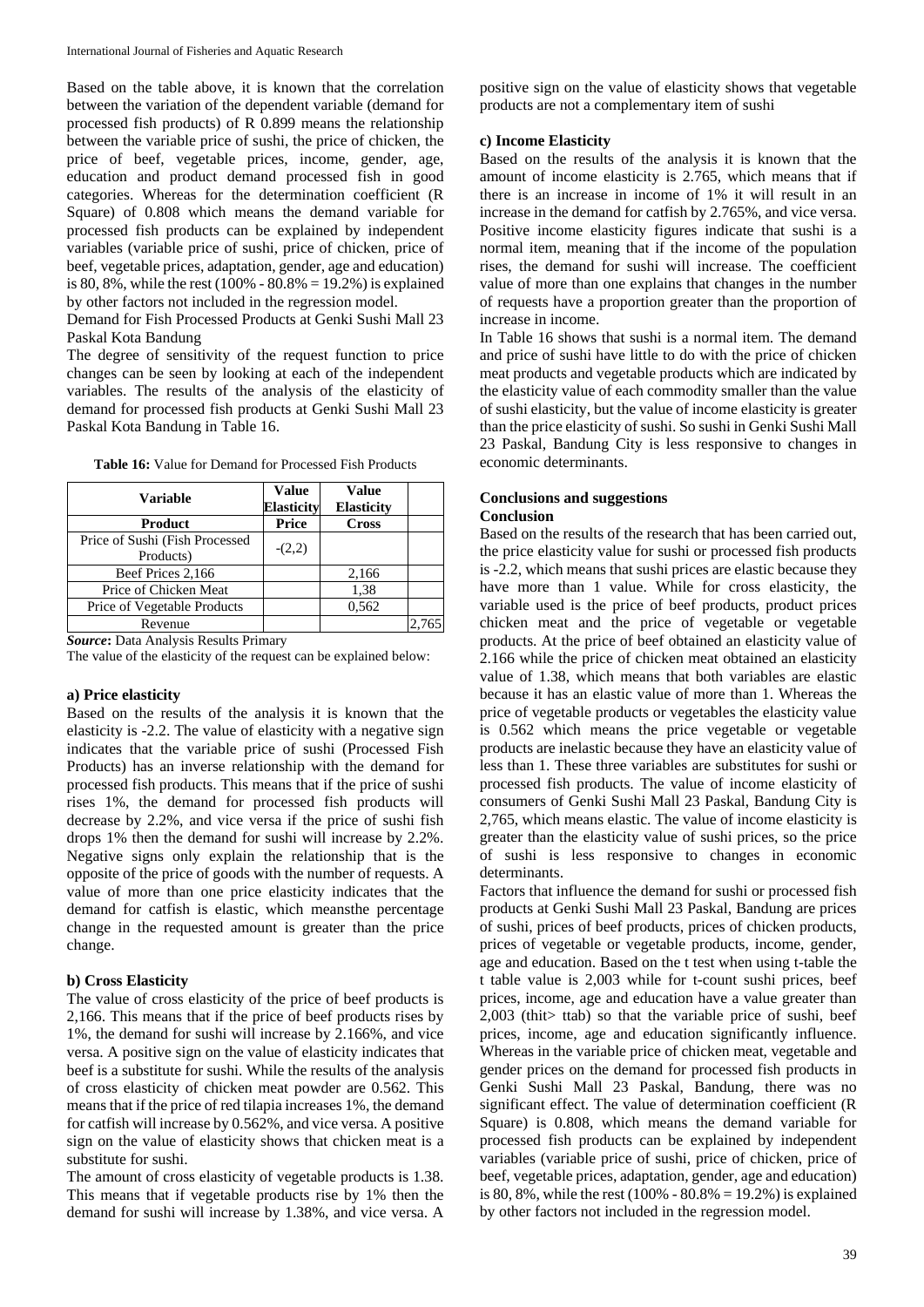Based on the table above, it is known that the correlation between the variation of the dependent variable (demand for processed fish products) of R 0.899 means the relationship between the variable price of sushi, the price of chicken, the price of beef, vegetable prices, income, gender, age, education and product demand processed fish in good categories. Whereas for the determination coefficient (R Square) of 0.808 which means the demand variable for processed fish products can be explained by independent variables (variable price of sushi, price of chicken, price of beef, vegetable prices, adaptation, gender, age and education) is 80, 8%, while the rest  $(100\% - 80.8\% = 19.2\%)$  is explained by other factors not included in the regression model.

Demand for Fish Processed Products at Genki Sushi Mall 23 Paskal Kota Bandung

The degree of sensitivity of the request function to price changes can be seen by looking at each of the independent variables. The results of the analysis of the elasticity of demand for processed fish products at Genki Sushi Mall 23 Paskal Kota Bandung in Table 16.

| <b>Variable</b>                              | <b>Value</b><br><b>Elasticity</b> | <b>Value</b><br><b>Elasticity</b> |  |
|----------------------------------------------|-----------------------------------|-----------------------------------|--|
| Product                                      | Price                             | <b>Cross</b>                      |  |
| Price of Sushi (Fish Processed)<br>Products) | $-(2,2)$                          |                                   |  |
| Beef Prices 2,166                            |                                   | 2,166                             |  |
| Price of Chicken Meat                        |                                   | 1,38                              |  |
| Price of Vegetable Products                  |                                   | 0,562                             |  |
| Revenue                                      |                                   |                                   |  |

**Table 16:** Value for Demand for Processed Fish Products

*Source***:** Data Analysis Results Primary

The value of the elasticity of the request can be explained below:

#### **a) Price elasticity**

Based on the results of the analysis it is known that the elasticity is -2.2. The value of elasticity with a negative sign indicates that the variable price of sushi (Processed Fish Products) has an inverse relationship with the demand for processed fish products. This means that if the price of sushi rises 1%, the demand for processed fish products will decrease by 2.2%, and vice versa if the price of sushi fish drops 1% then the demand for sushi will increase by 2.2%. Negative signs only explain the relationship that is the opposite of the price of goods with the number of requests. A value of more than one price elasticity indicates that the demand for catfish is elastic, which meansthe percentage change in the requested amount is greater than the price change.

# **b) Cross Elasticity**

The value of cross elasticity of the price of beef products is 2,166. This means that if the price of beef products rises by 1%, the demand for sushi will increase by 2.166%, and vice versa. A positive sign on the value of elasticity indicates that beef is a substitute for sushi. While the results of the analysis of cross elasticity of chicken meat powder are 0.562. This means that if the price of red tilapia increases 1%, the demand for catfish will increase by 0.562%, and vice versa. A positive sign on the value of elasticity shows that chicken meat is a substitute for sushi.

The amount of cross elasticity of vegetable products is 1.38. This means that if vegetable products rise by 1% then the demand for sushi will increase by 1.38%, and vice versa. A positive sign on the value of elasticity shows that vegetable products are not a complementary item of sushi

#### **c) Income Elasticity**

Based on the results of the analysis it is known that the amount of income elasticity is 2.765, which means that if there is an increase in income of 1% it will result in an increase in the demand for catfish by 2.765%, and vice versa. Positive income elasticity figures indicate that sushi is a normal item, meaning that if the income of the population rises, the demand for sushi will increase. The coefficient value of more than one explains that changes in the number of requests have a proportion greater than the proportion of increase in income.

In Table 16 shows that sushi is a normal item. The demand and price of sushi have little to do with the price of chicken meat products and vegetable products which are indicated by the elasticity value of each commodity smaller than the value of sushi elasticity, but the value of income elasticity is greater than the price elasticity of sushi. So sushi in Genki Sushi Mall 23 Paskal, Bandung City is less responsive to changes in economic determinants.

#### **Conclusions and suggestions Conclusion**

Based on the results of the research that has been carried out, the price elasticity value for sushi or processed fish products is -2.2, which means that sushi prices are elastic because they have more than 1 value. While for cross elasticity, the variable used is the price of beef products, product prices chicken meat and the price of vegetable or vegetable products. At the price of beef obtained an elasticity value of 2.166 while the price of chicken meat obtained an elasticity value of 1.38, which means that both variables are elastic because it has an elastic value of more than 1. Whereas the price of vegetable products or vegetables the elasticity value is 0.562 which means the price vegetable or vegetable products are inelastic because they have an elasticity value of less than 1. These three variables are substitutes for sushi or processed fish products. The value of income elasticity of consumers of Genki Sushi Mall 23 Paskal, Bandung City is 2,765, which means elastic. The value of income elasticity is greater than the elasticity value of sushi prices, so the price of sushi is less responsive to changes in economic determinants.

Factors that influence the demand for sushi or processed fish products at Genki Sushi Mall 23 Paskal, Bandung are prices of sushi, prices of beef products, prices of chicken products, prices of vegetable or vegetable products, income, gender, age and education. Based on the t test when using t-table the t table value is 2,003 while for t-count sushi prices, beef prices, income, age and education have a value greater than 2,003 (thit> ttab) so that the variable price of sushi, beef prices, income, age and education significantly influence. Whereas in the variable price of chicken meat, vegetable and gender prices on the demand for processed fish products in Genki Sushi Mall 23 Paskal, Bandung, there was no significant effect. The value of determination coefficient (R Square) is 0.808, which means the demand variable for processed fish products can be explained by independent variables (variable price of sushi, price of chicken, price of beef, vegetable prices, adaptation, gender, age and education) is 80, 8%, while the rest (100% -  $80.8% = 19.2%$ ) is explained by other factors not included in the regression model.